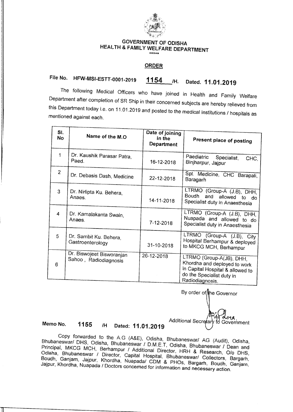

### **GOVERNMENT OF ODISHA HEALTH & FAMILY WELFARE DEPARTMENT \*\*\*.**

#### **ORDER**

# **File No. HFW-MSI-ESTT-0001-2019 1154 /H. Dated. 11.01.2019**

The following Medical Officers who have joined in Health and Family Welfare Department after completion of SR Ship in their concerned subjects are hereby relieved from this Department today i.e. on 11.01.2019 and posted to the medical institutions / hospitals as mentioned against each.

| SI.<br>No      | Name of the M.O.                                   | Date of joining<br>in the<br><b>Department</b> | Present place of posting                                                                                                                     |
|----------------|----------------------------------------------------|------------------------------------------------|----------------------------------------------------------------------------------------------------------------------------------------------|
| 1              | Dr. Kaushik Parasar Patra,<br>Paed.                | 16-12-2018                                     | Paediatric<br>Specialist,<br>CHC,<br>Binjharpur, Jajpur                                                                                      |
| $\overline{2}$ | Dr. Debasis Dash, Medicine                         | 22-12-2018                                     | Spl. Medicine, CHC Barapali,<br>Baragarh                                                                                                     |
| 3              | Dr. Nirlipta Ku. Behera,<br>Anaes.                 | 14-11-2018                                     | LTRMO (Group-A (J.B), DHH,<br>Boudh<br>and allowed to<br>do<br>Specialist duty in Anaesthesia                                                |
| 4              | Dr. Kamalakanta Swain,<br>Anaes.                   | $7 - 12 - 2018$                                | LTRMO (Group-A (J.B), DHH,<br>Nuapada and allowed to do<br>Specialist duty in Anaesthesia                                                    |
| 5              | Dr. Sambit Ku. Behera,<br>Gastroenterology         | 31-10-2018                                     | LTRMO (Group-A (J.B), City<br>Hospital Berhampur & deployed<br>to MKCG MCH, Berhampur                                                        |
| 6              | Dr. Biswojeet Bisworanjan<br>Sahoo, Radiodiagnosis | 26-12-2018                                     | LTRMO (Group-A(JB), DHH,<br>Khordha and deployed to work<br>In Capital Hospital & allowed to<br>do the Specialist duty in<br>Radiodiagnosis. |

By order of the Governor

Additional Secretary to Government

**Memo No. 1155 /H Dated: 11.01.2019** 

Copy forwarded to the A.G (A&E), Odisha, Bhubaneswar/ AG (Audit), Odisha, Bhubaneswar/ DHS, Odisha, Bhubaneswar / D.M.E.T, Odisha, Bhubaneswar / Dean and Principal, MKCG MCH, Berhampur / Additional Director, HRH & Research, 0/o DHS, Odisha, Bhubaneswar / Director, Capital Hospital, Bhubaneswar/ Collectors, Bargarh, Boudh, Ganjam, Jajpur, Khordha, Nuapada/ CDM & PHOs, Bargarh, Boudh, Ganjam, Jajpur, Khordha, Nuapada / Doctors concerned for information and necessary action.